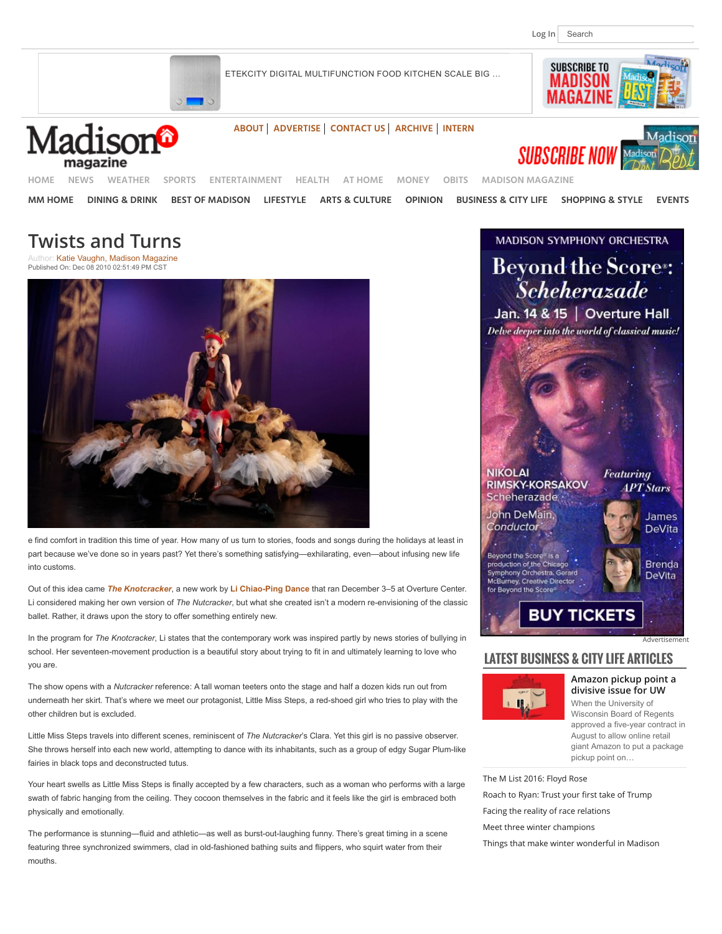**SUBSCRIBE TO MADISON** 

[ETEKCITY DIGITAL MULTIFUNCTION FOOD KITCHEN SCALE BIG](https://adclick.g.doubleclick.net/aclk?sa=L&ai=CBwbBVzpQWJ7fG5eoBbqzt-gM7bfylEbdvbCVZMCNtwEQASAAYMnW2Y38pPgUggEXY2EtcHViLTEzNzAyMzAwOTQ5Njg3NzPIAQngAgCoAwGqBPcBT9DzAXZmeO7NZORxA5cUVGzW0N_qjflZUMRu1Q1cbUXRIV2UE9In_AhPtOQJSdhbOV3BUqT7nU9SdPBNJxE76Oe4HYTf3rATEoziD7sg1YZZyMTgmQ2wmMYiOYuxAvgq07eWjBkAe27D6T1wERmuA_gxcZXjAmGXE6wpibIlEXAx2cSbj9stsKA24mr2BcLZLP7bJws7eyJegGYxe77_AzmmFmj2rvakAJk3_Byfjv6pDLSWwO2R8jFQvqU21ihZt_FTz5PKXQ9fIvrdoMAZKz9pTz1z94oUPAFD_GS83g6ljT-YKGmSD4G7l-tzklX04Vw2xZv9QeAEAYAGn5GtoazM1YuEAaAGIagHpr4b2AcA0ggFCIBhEAE&num=1&sig=AOD64_1qYw606p1xWEZPkJhK1kY72xZ0lw&client=ca-pub-1370230094968773&adurl=https://aax-us-pdx.amazon-adsystem.com/x/c/QkoImXw4jlVfs-LD-VZ_pVwAAAFY-WPoGwYAAAV4ATANFPg/http://www.amazon.com/dp/B01HNSRYAK/ref=dra_a_rv_lb_ho_xx_P1400_1000?tag=dradisplay-20&ascsubtag=a504d5013e47d69b620827e547f596a2_S) …

**[ABOUT](http://www.channel3000.com/madison-magazine/about-us/30198244) [ADVERTISE](http://www.channel3000.com/madison-magazine/advertise/30203518) [CONTACT US](http://www.channel3000.com/madison-magazine/contact-us/30199444) [ARCHIVE](http://www.channel3000.com/madison-magazine/archive/30240110) [INTERN](http://www.channel3000.com/madison-magazine/internship-opportunities/30199220)**









**[HOME](http://www.channel3000.com/) [NEWS](http://www.channel3000.com/news) [WEATHER](http://www.channel3000.com/weather) [SPORTS](http://www.channel3000.com/sports) [ENTERTAINMENT](http://www.channel3000.com/entertainment) [HEALTH](http://www.channel3000.com/health) [AT HOME](http://www.channel3000.com/at-home) [MONEY](http://www.channel3000.com/money) [OBITS](http://www.channel3000.com/obituaries) [MADISON MAGAZINE](http://www.channel3000.com/madison-magazine)**

**[MM HOME](http://www.channel3000.com/madison-magazine) [DINING & DRINK](http://www.channel3000.com/madison-magazine/dining-drink) [BEST OF MADISON](http://www.channel3000.com/madison-magazine/best-of-madison) [LIFESTYLE](http://www.channel3000.com/madison-magazine/home-lifestyle) [ARTS & CULTURE](http://www.channel3000.com/madison-magazine/arts-culture) [OPINION](http://www.channel3000.com/madison-magazine/opinions/37396364) [BUSINESS & CITY LIFE](http://www.channel3000.com/madison-magazine/business-city-life) [SHOPPING & STYLE](http://www.channel3000.com/madison-magazine/shopping-style) [EVENTS](http://www.channel3000.com/madison-magazine/events)**

# **Twists and Turns**

Author: [Katie Vaughn, Madison Magazine](http://www.channel3000.com/madison-magazine/arts-culture/29849792) Published On: Dec 08 2010 02:51:49 PM CST



e find comfort in tradition this time of year. How many of us turn to stories, foods and songs during the holidays at least in part because we've done so in years past? Yet there's something satisfying—exhilarating, even—about infusing new life into customs.

Out of this idea came *[The Knotcracker](http://www.overturecenter.com/production/knotcracker)*, a new work by **[Li Chiao-Ping Dance](http://www.lichiaopingdance.org/)** that ran December 3–5 at Overture Center. Li considered making her own version of *The Nutcracker*, but what she created isn't a modern re-envisioning of the classic ballet. Rather, it draws upon the story to offer something entirely new.

In the program for *The Knotcracker*, Li states that the contemporary work was inspired partly by news stories of bullying in school. Her seventeen-movement production is a beautiful story about trying to fit in and ultimately learning to love who you are.

The show opens with a *Nutcracker* reference: A tall woman teeters onto the stage and half a dozen kids run out from underneath her skirt. That's where we meet our protagonist, Little Miss Steps, a red-shoed girl who tries to play with the other children but is excluded.

Little Miss Steps travels into different scenes, reminiscent of *The Nutcracker*'s Clara. Yet this girl is no passive observer. She throws herself into each new world, attempting to dance with its inhabitants, such as a group of edgy Sugar Plum-like fairies in black tops and deconstructed tutus.

Your heart swells as Little Miss Steps is finally accepted by a few characters, such as a woman who performs with a large swath of fabric hanging from the ceiling. They cocoon themselves in the fabric and it feels like the girl is embraced both physically and emotionally.

The performance is stunning—fluid and athletic—as well as burst-out-laughing funny. There's great timing in a scene featuring three synchronized swimmers, clad in old-fashioned bathing suits and flippers, who squirt water from their mouths.

**MADISON SYMPHONY ORCHESTRA Beyond the Score:** *Scheherazade* Jan. 14 & 15 | Overture Hall Delve deeper into the world of classical music! **NIKOLAI** Featuring **RIMSKY-KORSAKOV IPT** Stars Scheherazade John DeMain, James Conductor **DeVita** Beyond the Score® is a production of the Chicago **Brenda** .<br>Symphony Orchestra. Gerard **DeVita** McBurney, Creative Director for Beyond the Score® **BUY TICKETS** [Advertisement](http://www.channel3000.com/advertise)

### **LATEST BUSINESS & CITY LIFE ARTICLES**



**[Amazon pickup point a](http://www.channel3000.com/madison-magazine/business-city-life/Amazon-pickup-point-a-divisive-issue-for-UW/42488220) divisive issue for UW** When the University of Wisconsin Board of Regents approved a five-year contract in August to allow online retail giant Amazon to put a package pickup point on…

[The M List 2016: Floyd Rose](http://www.channel3000.com/madison-magazine/business-city-life/community-spirit-100-black-men/42171314) [Roach to Ryan: Trust your](http://www.channel3000.com/madison-magazine/business-city-life/dear-paul-ryan/42687380) first take of Trump [Facing the reality of race relations](http://www.channel3000.com/madison-magazine/business-city-life/Facing-the-reality-of-race-relations/42488414) [Meet three winter champions](http://www.channel3000.com/madison-magazine/business-city-life/winter-champions/42507356)

[Things that make winter wonderful in Madison](http://www.channel3000.com/madison-magazine/business-city-life/no-wonders-here-about-winter-wonderland/42507254)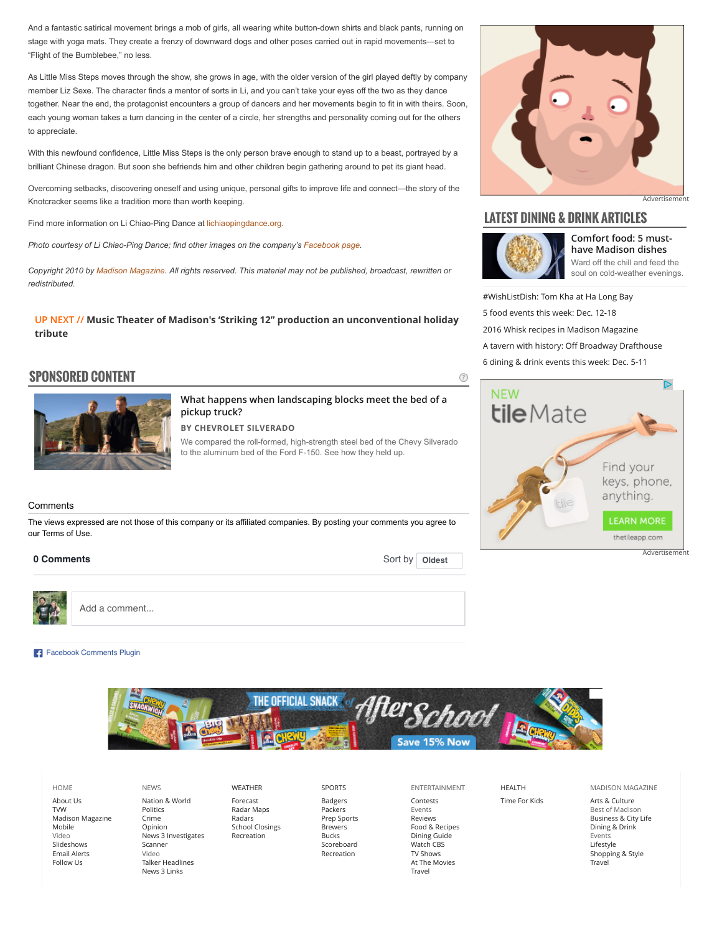And a fantastic satirical movement brings a mob of girls, all wearing white button-down shirts and black pants, running on stage with yoga mats. They create a frenzy of downward dogs and other poses carried out in rapid movements—set to "Flight of the Bumblebee," no less.

As Little Miss Steps moves through the show, she grows in age, with the older version of the girl played deftly by company member Liz Sexe. The character finds a mentor of sorts in Li, and you can't take your eyes off the two as they dance together. Near the end, the protagonist encounters a group of dancers and her movements begin to fit in with theirs. Soon, each young woman takes a turn dancing in the center of a circle, her strengths and personality coming out for the others to appreciate.

With this newfound confidence, Little Miss Steps is the only person brave enough to stand up to a beast, portrayed by a brilliant Chinese dragon. But soon she befriends him and other children begin gathering around to pet its giant head.

Overcoming setbacks, discovering oneself and using unique, personal gifts to improve life and connect—the story of the Knotcracker seems like a tradition more than worth keeping.

Find more information on Li Chiao-Ping Dance at [lichiaopingdance.org.](http://www.lichiaopingdance.org/)

*Photo courtesy of Li Chiao-Ping Dance; find other images on the company's [Facebook page](http://www.facebook.com/lcpdance).* 

*Copyright 2010 by [Madison Magazine.](mailto:c3knews@channel3000.com) All rights reserved. This material may not be published, broadcast, rewritten or redistributed.*

**UP NEXT // [Music Theater of Madison's 'Striking 12" production an unconventional holiday](http://www.channel3000.com/madison-magazine/arts-culture/music-theater-of-madisons-striking-12-production-an-unconventional-holiday-tribute/42740332) tribute**

## **[SPONSORED CONTENT](http://www.channel3000.com/madison-magazine/sponsored-content?prx_t=3kcCAVj0IA8M4LA&ntv_fr)**



**[What happens when landscaping blocks meet the bed of a](http://www.channel3000.com/madison-magazine/sponsored-content?prx_t=3kcCAVj0IA8M4LA&ntv_fr) pickup truck?**

**BY [CHEVROLET SILVERADO](http://www.channel3000.com/madison-magazine/sponsored-content?prx_t=3kcCAVj0IA8M4LA&ntv_fr)**

We compared the roll-formed, high-strength steel bed of the Chevy Silverado to the aluminum bed of the Ford F-150. See how they held up.

#### Comments

The views expressed are not those of this company or its affiliated companies. By posting your comments you agree to our Terms of Use.

#### 0 Comments



Add a comment...

#### [Facebook Comments Plugin](https://developers.facebook.com/docs/plugins/comments/)



[HOME](http://www.channel3000.com/) [About Us](http://www.channel3000.com/wisc-tv) [TVW](http://www.channel3000.com/tvw) [Madison Magazine](http://www.madisonmagazine.com/) [Mobile](http://www.channel3000.com/money/technology/mobile/4144) [Video](http://www.channel3000.com/news/video) [Slideshows](http://www.channel3000.com/slideshows) [Email Alerts](http://www.channel3000.com/Sign-Up-for-Email-Newsletters-Alerts/30009836) [Follow Us](http://www.channel3000.com/wisc-tv/interactive/96338)

[NEWS](http://www.channel3000.com/news) [Nation & World](http://www.channel3000.com/news/national-news) [Politics](http://www.channel3000.com/news/politics) [Crime](http://www.channel3000.com/news/crime) [Opinion](http://www.channel3000.com/news/opinion) [News 3 Investigates](http://www.channel3000.com/news/news3-investigates/19207824) [Scanner](http://www.channel3000.com/features/scanner) [Video](http://www.channel3000.com/news/video) [Talker Headlines](http://www.channel3000.com/news/irresistible) [News 3 Links](http://www.channel3000.com/news-3-links/8356232)

[WEATHER](http://www.channel3000.com/weather) [Forecast](http://www.channel3000.com/weather/7-day-forecast/local-forecast/23433506) [Radar Maps](http://www.channel3000.com/weather/weather-radar) [Radars](http://www.channel3000.com/weather/interactive-radar) [School Closings](http://www.channel3000.com/weather/closings) [Recreation](http://www.channel3000.com/sports/recreation)

[SPORTS](http://www.channel3000.com/sports) [Badgers](http://www.channel3000.com/sports/badgers) [Packers](http://www.channel3000.com/sports/packers) [Prep Sports](http://www.channel3000.com/sports/wiaa) [Brewers](http://sportsdata.channel3000.com/baseball/mlb-teams.aspx?page=/data/mlb/teams/team2976.html) [Bucks](http://sportsdata.channel3000.com/basketball/nba-teams.aspx?page=/data/nba/teams/team404011.html) [Scoreboard](http://www.channel3000.com/sports/scoreboard) [Recreation](http://www.channel3000.com/sports/recreation)

[ENTERTAINMENT](http://www.channel3000.com/entertainment) [Contests](http://www.channel3000.com/entertainment/contests) [Events](http://www.channel3000.com/madison-magazine/events) [Reviews](http://www.channel3000.com/entertainment/reviews) [Food & Recipes](http://www.channel3000.com/entertainment/food) [Dining Guide](http://www.channel3000.com/madison-magazine/dining-drink/dining-guide/30847520) [Watch CBS](http://www.channel3000.com/entertainment/cbs-video-player) [TV Shows](http://www.channel3000.com/entertainment/shows/27665516) [At The Movies](http://www.channel3000.com/entertainment/atthemovies) [Travel](http://www.channel3000.com/entertainment/travel)

Sort by **[Oldest](https://www.facebook.com/plugins/feedback.php?api_key=138069019570371&channel_url=http%3A%2F%2Fstaticxx.facebook.com%2Fconnect%2Fxd_arbiter%2Fr%2F_IDqWBiKXtV.js%3Fversion%3D42%23cb%3Df177605af8%26domain%3Dwww.channel3000.com%26origin%3Dhttp%253A%252F%252Fwww.channel3000.com%252Ff39b34d5%26relation%3Dparent.parent&href=http%3A%2F%2Fwww.channel3000.com%2Fmadison-magazine%2Farts-culture%2FTwists-and-Turns%2F30742252&locale=en_US&numposts=4&sdk=joey&version=v2.2&width=652#)** 

[HEALTH](http://www.channel3000.com/health)

[Time For Kids](http://www.channel3000.com/at-home/time-for-kids/19909288)

[MADISON MAGAZINE](http://www.channel3000.com/madison-magazine)

[Arts & Culture](http://www.channel3000.com/madison-magazine/arts-culture) [Best of Madison](http://www.channel3000.com/madison-magazine/best-of-madison) [Business & City Life](http://www.channel3000.com/madison-magazine/business-city-life) [Dining & Drink](http://www.channel3000.com/madison-magazine/dining-drink) [Events](http://www.channel3000.com/madison-magazine/events) [Lifestyle](http://www.channel3000.com/madison-magazine/home-lifestyle) [Shopping & Style](http://www.channel3000.com/madison-magazine/shopping-style) [Travel](http://www.channel3000.com/madison-magazine/travel)

## **LATEST DINING & DRINK ARTICLES**



 $\circledR$ 

**[Comfort food: 5 must](http://www.channel3000.com/madison-magazine/business-city-life/ward-off-the-chill-feed-the-soul/42510362)have Madison dishes** Ward off the chill and feed the soul on cold-weather evenings.

[Advertisement](http://www.channel3000.com/advertise)

[#WishListDish: Tom Kha at Ha Long Bay](http://www.channel3000.com/madison-magazine/dining-drink/wishlistdish-tom-kha-at-ha-long-bay/42740246) [5 food events this week: Dec. 12-18](http://www.channel3000.com/madison-magazine/dining-drink/5-food-events-thi/42767538) [2016 Whisk recipes in Madison Magazine](http://www.channel3000.com/madison-magazine/dining-drink/2016-whisk-recipes-in-madison-magazine/42769352) [A tavern with history: O](http://www.channel3000.com/madison-magazine/dining-drink/A-tavern-with-history-Off-Broadway-Drafthouse/42488726)ff Broadway Drafthouse [6 dining & drink events this week: Dec. 5-11](http://www.channel3000.com/madison-magazine/dining-drink/6-dining-drink-events-this-week-dec-511/42693400)